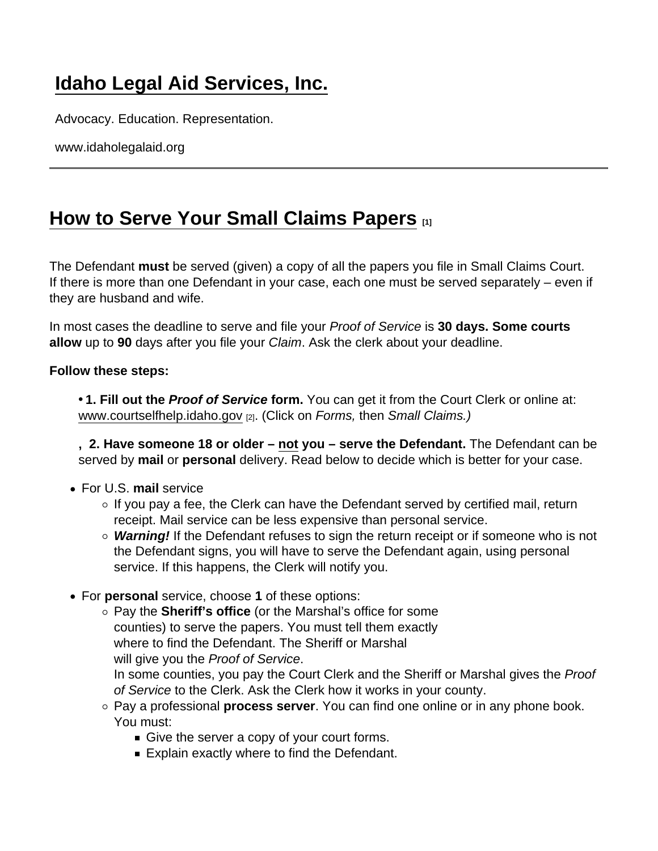## [Idaho Legal Aid Services, Inc.](https://www.idaholegalaid.org/)

Advocacy. Education. Representation.

www.idaholegalaid.org

## [How to Serve Your Small Claims Papers](https://www.idaholegalaid.org/node/2528/how-serve-your-small-claims-papers)  $_{11}$

The Defendant must be served (given) a copy of all the papers you file in Small Claims Court. If there is more than one Defendant in your case, each one must be served separately – even if they are husband and wife.

In most cases the deadline to serve and file your Proof of Service is 30 days. Some courts allow up to 90 days after you file your Claim. Ask the clerk about your deadline.

Follow these steps:

• 1. Fill out the Proof of Service form . You can get it from the Court Clerk or online at: [www.courtselfhelp.idaho.gov](http://www.courtselfhelp.idaho.gov) [2]. (Click on Forms, then Small Claims.)

 $, 2.$  Have someone 18 or older  $-$  not you  $-$  serve the Defendant. The Defendant can be served by mail or personal delivery. Read below to decide which is better for your case.

- For U.S. mail service
	- $\circ$  If you pay a fee, the Clerk can have the Defendant served by certified mail, return receipt. Mail service can be less expensive than personal service.
	- Warning! If the Defendant refuses to sign the return receipt or if someone who is not the Defendant signs, you will have to serve the Defendant again, using personal service. If this happens, the Clerk will notify you.
- For personal service, choose 1 of these options:
	- $\circ$  Pay the Sheriff's office (or the Marshal's office for some counties) to serve the papers. You must tell them exactly where to find the Defendant. The Sheriff or Marshal will give you the Proof of Service. In some counties, you pay the Court Clerk and the Sheriff or Marshal gives the Proof
		- of Service to the Clerk. Ask the Clerk how it works in your county.
	- $\circ$  Pay a professional process server. You can find one online or in any phone book. You must:
		- Give the server a copy of your court forms.
		- Explain exactly where to find the Defendant.